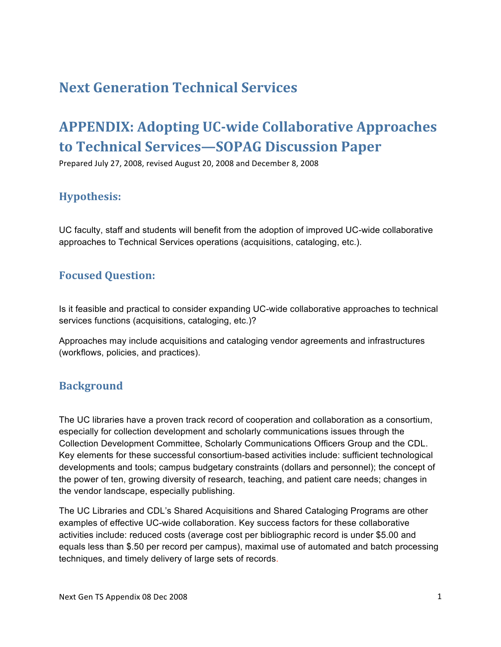# **Next
Generation
Technical
Services**

# APPENDIX: Adopting UC-wide Collaborative Approaches **to
Technical
Services—SOPAG
Discussion
Paper**

Prepared
July
27,
2008,
revised
August
20,
2008
and
December
8,
2008

# **Hypothesis:**

UC faculty, staff and students will benefit from the adoption of improved UC-wide collaborative approaches to Technical Services operations (acquisitions, cataloging, etc.).

# **Focused
Question:**

Is it feasible and practical to consider expanding UC-wide collaborative approaches to technical services functions (acquisitions, cataloging, etc.)?

Approaches may include acquisitions and cataloging vendor agreements and infrastructures (workflows, policies, and practices).

### **Background**

The UC libraries have a proven track record of cooperation and collaboration as a consortium, especially for collection development and scholarly communications issues through the Collection Development Committee, Scholarly Communications Officers Group and the CDL. Key elements for these successful consortium-based activities include: sufficient technological developments and tools; campus budgetary constraints (dollars and personnel); the concept of the power of ten, growing diversity of research, teaching, and patient care needs; changes in the vendor landscape, especially publishing.

The UC Libraries and CDL's Shared Acquisitions and Shared Cataloging Programs are other examples of effective UC-wide collaboration. Key success factors for these collaborative activities include: reduced costs (average cost per bibliographic record is under \$5.00 and equals less than \$.50 per record per campus), maximal use of automated and batch processing techniques, and timely delivery of large sets of records.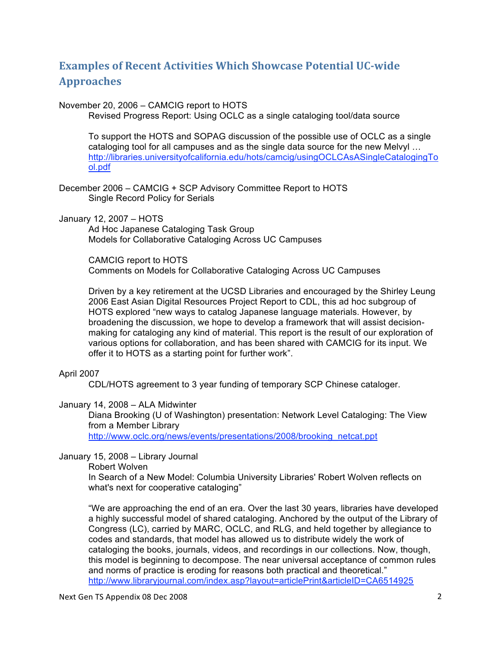# **Examples of Recent Activities Which Showcase Potential UC-wide Approaches**

#### November 20, 2006 – CAMCIG report to HOTS

Revised Progress Report: Using OCLC as a single cataloging tool/data source

To support the HOTS and SOPAG discussion of the possible use of OCLC as a single cataloging tool for all campuses and as the single data source for the new Melvyl … http://libraries.universityofcalifornia.edu/hots/camcig/usingOCLCAsASingleCatalogingTo ol.pdf

December 2006 – CAMCIG + SCP Advisory Committee Report to HOTS Single Record Policy for Serials

January 12, 2007 – HOTS

Ad Hoc Japanese Cataloging Task Group Models for Collaborative Cataloging Across UC Campuses

CAMCIG report to HOTS Comments on Models for Collaborative Cataloging Across UC Campuses

Driven by a key retirement at the UCSD Libraries and encouraged by the Shirley Leung 2006 East Asian Digital Resources Project Report to CDL, this ad hoc subgroup of HOTS explored "new ways to catalog Japanese language materials. However, by broadening the discussion, we hope to develop a framework that will assist decisionmaking for cataloging any kind of material. This report is the result of our exploration of various options for collaboration, and has been shared with CAMCIG for its input. We offer it to HOTS as a starting point for further work".

#### April 2007

CDL/HOTS agreement to 3 year funding of temporary SCP Chinese cataloger.

#### January 14, 2008 – ALA Midwinter

Diana Brooking (U of Washington) presentation: Network Level Cataloging: The View from a Member Library

http://www.oclc.org/news/events/presentations/2008/brooking\_netcat.ppt

#### January 15, 2008 – Library Journal

Robert Wolven

In Search of a New Model: Columbia University Libraries' Robert Wolven reflects on what's next for cooperative cataloging"

"We are approaching the end of an era. Over the last 30 years, libraries have developed a highly successful model of shared cataloging. Anchored by the output of the Library of Congress (LC), carried by MARC, OCLC, and RLG, and held together by allegiance to codes and standards, that model has allowed us to distribute widely the work of cataloging the books, journals, videos, and recordings in our collections. Now, though, this model is beginning to decompose. The near universal acceptance of common rules and norms of practice is eroding for reasons both practical and theoretical." http://www.libraryjournal.com/index.asp?layout=articlePrint&articleID=CA6514925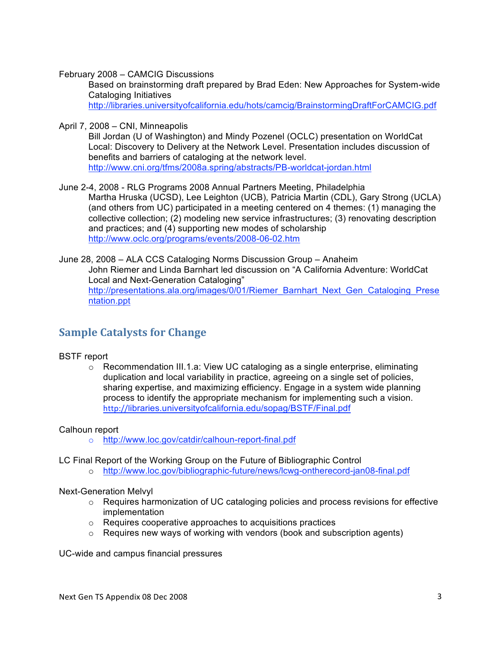February 2008 – CAMCIG Discussions

Based on brainstorming draft prepared by Brad Eden: New Approaches for System-wide Cataloging Initiatives http://libraries.universityofcalifornia.edu/hots/camcig/BrainstormingDraftForCAMCIG.pdf

April 7, 2008 – CNI, Minneapolis

Bill Jordan (U of Washington) and Mindy Pozenel (OCLC) presentation on WorldCat Local: Discovery to Delivery at the Network Level. Presentation includes discussion of benefits and barriers of cataloging at the network level. http://www.cni.org/tfms/2008a.spring/abstracts/PB-worldcat-jordan.html

June 2-4, 2008 - RLG Programs 2008 Annual Partners Meeting, Philadelphia Martha Hruska (UCSD), Lee Leighton (UCB), Patricia Martin (CDL), Gary Strong (UCLA) (and others from UC) participated in a meeting centered on 4 themes: (1) managing the collective collection; (2) modeling new service infrastructures; (3) renovating description and practices; and (4) supporting new modes of scholarship http://www.oclc.org/programs/events/2008-06-02.htm

June 28, 2008 – ALA CCS Cataloging Norms Discussion Group – Anaheim John Riemer and Linda Barnhart led discussion on "A California Adventure: WorldCat Local and Next-Generation Cataloging" http://presentations.ala.org/images/0/01/Riemer\_Barnhart\_Next\_Gen\_Cataloging\_Prese ntation.ppt

### **Sample
Catalysts
for
Change**

#### BSTF report

 $\circ$  Recommendation III.1.a: View UC cataloging as a single enterprise, eliminating duplication and local variability in practice, agreeing on a single set of policies, sharing expertise, and maximizing efficiency. Engage in a system wide planning process to identify the appropriate mechanism for implementing such a vision. http://libraries.universityofcalifornia.edu/sopag/BSTF/Final.pdf

#### Calhoun report

- o http://www.loc.gov/catdir/calhoun-report-final.pdf
- LC Final Report of the Working Group on the Future of Bibliographic Control
	- o http://www.loc.gov/bibliographic-future/news/lcwg-ontherecord-jan08-final.pdf

#### Next-Generation Melvyl

- $\circ$  Requires harmonization of UC cataloging policies and process revisions for effective implementation
- o Requires cooperative approaches to acquisitions practices
- $\circ$  Requires new ways of working with vendors (book and subscription agents)

UC-wide and campus financial pressures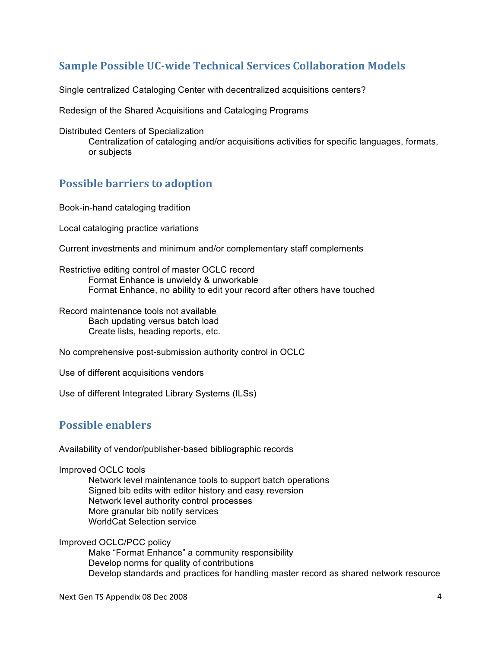# **Sample Possible UC-wide Technical Services Collaboration Models**

Single centralized Cataloging Center with decentralized acquisitions centers?

Redesign of the Shared Acquisitions and Cataloging Programs

Distributed Centers of Specialization

Centralization of cataloging and/or acquisitions activities for specific languages, formats, or subjects

### **Possible
barriers
to
adoption**

Book-in-hand cataloging tradition

Local cataloging practice variations

Current investments and minimum and/or complementary staff complements

Restrictive editing control of master OCLC record Format Enhance is unwieldy & unworkable Format Enhance, no ability to edit your record after others have touched

Record maintenance tools not available Bach updating versus batch load Create lists, heading reports, etc.

No comprehensive post-submission authority control in OCLC

Use of different acquisitions vendors

Use of different Integrated Library Systems (ILSs)

### **Possible
enablers**

Availability of vendor/publisher-based bibliographic records

Improved OCLC tools

Network level maintenance tools to support batch operations Signed bib edits with editor history and easy reversion Network level authority control processes More granular bib notify services WorldCat Selection service

Improved OCLC/PCC policy

Make "Format Enhance" a community responsibility Develop norms for quality of contributions Develop standards and practices for handling master record as shared network resource